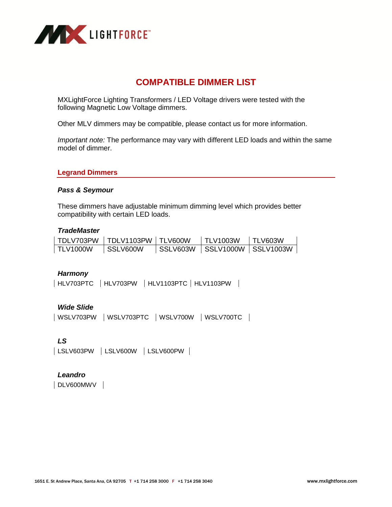

# **COMPATIBLE DIMMER LIST**

MXLightForce Lighting Transformers / LED Voltage drivers were tested with the following Magnetic Low Voltage dimmers.

Other MLV dimmers may be compatible, please contact us for more information.

*Important note:* The performance may vary with different LED loads and within the same model of dimmer.

#### **Legrand Dimmers**

#### *Pass & Seymour*

These dimmers have adjustable minimum dimming level which provides better compatibility with certain LED loads.

#### *TradeMaster*

|                 | TDLV703PW TDLV1103PW TLV600W | $\mid$ TLV1003W              | I TLV603W |
|-----------------|------------------------------|------------------------------|-----------|
| <b>TLV1000W</b> | I SSLV600W                   | SSLV603W SSLV1000W SSLV1003W |           |

#### *Harmony*

| HLV703PTC | HLV703PW | HLV1103PTC | HLV1103PW |

## *Wide Slide*

| WSLV703PW | WSLV703PTC | WSLV700W | WSLV700TC |

#### *LS*

| LSLV603PW | LSLV600W | LSLV600PW |

## *Leandro*

DLV600MWV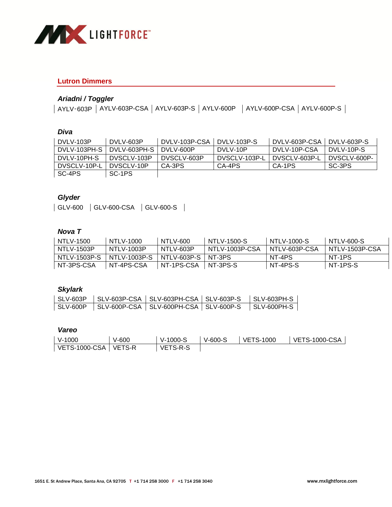

#### **Lutron Dimmers**

## *Ariadni / Toggler*

| AYLV-603P | AYLV-603P-CSA | AYLV-603P-S | AYLV-600P | AYLV-600P-CSA | AYLV-600P-S |

#### *Diva*

| DVLV-103P    | DVLV-603P    | DVLV-103P-CSA | DVLV-103P-S   | DVLV-603P-CSA | DVLV-603P-S  |
|--------------|--------------|---------------|---------------|---------------|--------------|
| DVLV-103PH-S | DVLV-603PH-S | DVLV-600P     | DVLV-10P      | DVLV-10P-CSA  | DVLV-10P-S   |
| DVLV-10PH-S  | DVSCLV-103P  | DVSCLV-603P   | DVSCLV-103P-L | DVSCLV-603P-L | DVSCLV-600P- |
| DVSCLV-10P-L | DVSCLV-10P   | CA-3PS        | CA-4PS        | CA-1PS        | SC-3PS       |
| SC-4PS       | SC-1PS       |               |               |               |              |

## *Glyder*

| GLV-600 | GLV-600-CSA | GLV-600-S |

### *Nova T*

| NTLV-1500     | NTLV-1000     | NTLV-600      | NTLV-1500-S    | NTI V-1000-S  | NTLV-600-S     |
|---------------|---------------|---------------|----------------|---------------|----------------|
| NTLV-1503P    | NTLV-1003P    | NTLV-603P     | NTLV-1003P-CSA | NTLV-603P-CSA | NTLV-1503P-CSA |
| NTI V-1503P-S | NTI V-1003P-S | NTLV-603P-S 1 | NT-3PS         | NT-4PS        | NT-1PS         |
| NT-3PS-CSA    | NT-4PS-CSA    | NT-1PS-CSA    | NT-3PS-S       | NT-4PS-S      | NT-1PS-S       |

## *Skylark*

#### *Vareo*

| $V-1000$ | $V-600$ | $\overline{\phantom{0}}$ V-1000-S | $V-600-S$ | <b>LVETS-1000</b> | VETS-1000-CSA |
|----------|---------|-----------------------------------|-----------|-------------------|---------------|
|          |         | VETS-R-S                          |           |                   |               |